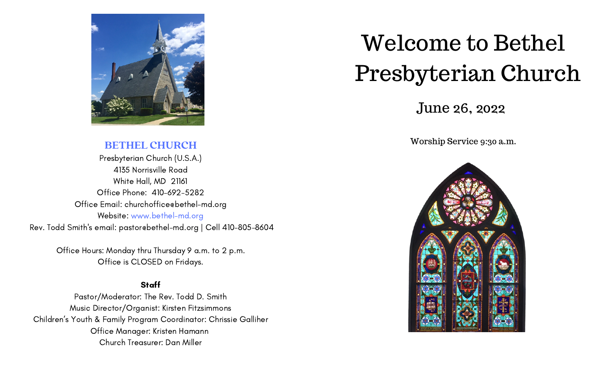

### **BETHEL CHURCH**

Presbyterian Church (U.S.A.) 4135 Norrisville Road White Hall, MD 21161 Office Phone: 410-692-5282 Office Email: churchoffice@bethel-md.org Website: www.bethel-md.org Rev. Todd Smith's email: pastor@bethel-md.org | Cell 410-805-8604

> Office Hours: Monday thru Thursday 9 a.m. to 2 p.m. Office is CLOSED on Fridays.

### **Staff**

Pastor/Moderator: The Rev. Todd D. Smith Music Director/Organist: Kirsten Fitzsimmons Children's Youth & Family Program Coordinator: Chrissie Galliher Office Manager: Kristen Hamann Church Treasurer: Dan Miller

# Welcome to Bethel Presbyterian Church

### June 26, 2022

Worship Service 9:30 a.m.

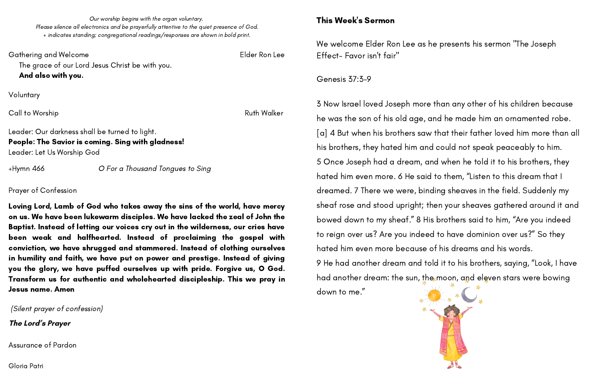Our worship begins with the organ voluntary. Please silence all electronics and be prayerfully attentive to the quiet presence of God. + indicates standing; congregational readings/responses are shown in bold print.

Gathering and Welcome **Elder Ron Lee** The grace of our Lord Jesus Christ be with you. And also with you. Voluntary **Call to Worship Call to Worship Ruth Walker** Leader: Our darkness shall be turned to light. People: The Savior is coming. Sing with gladness! Leader: Let Us Worship God +Hymn 466 O For a Thousand Tongues to Sing Prayer of Confession

Loving Lord, Lamb of God who takes away the sins of the world, have mercy on us. We have been lukewarm disciples. We have lacked the zeal of John the Baptist. Instead of letting our voices cry out in the wilderness, our cries have been weak and halfhearted. Instead of proclaiming the gospel with conviction, we have shrugged and stammered. Instead of clothing ourselves in humility and faith, we have put on power and prestige. Instead of giving you the glory, we have puffed ourselves up with pride. Forgive us, O God. Transform us for authentic and wholehearted discipleship. This we pray in Jesus name. Amen

(Silent prayer of confession)

**The Lord's Prayer**

Assurance of Pardon

Gloria Patri

### This Week's Sermon

We welcome Elder Ron Lee as he presents his sermon "The Joseph Effect- Favor isn't fair"

### Genesis 37:3-9

down to me."

3 Now Israel loved Joseph more than any other of his children because he was the son of his old age, and he made him an ornamented robe. [\[a](https://www.biblegateway.com/passage/?search=Genesis+37%3A3-9&version=NRSVUE#fen-NRSVUE-1087a)] 4 But when his brothers saw that their father loved him more than all his brothers, they hated him and could not speak peaceably to him. 5 Once Joseph had a dream, and when he told it to his brothers, they hated him even more. 6 He said to them, "Listen to this dream that I dreamed. 7 There we were, binding sheaves in the field. Suddenly my sheaf rose and stood upright; then your sheaves gathered around it and bowed down to my sheaf." 8 His brothers said to him, "Are you indeed to reign over us? Are you indeed to have dominion over us?" So they hated him even more because of his dreams and his words. 9 He had another dream and told it to his brothers, saying, "Look, I have had another dream: the sun, the moon, and eleven stars were bowing

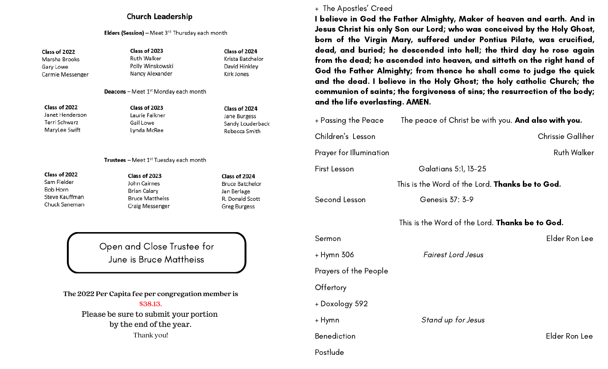#### **Church Leadership**

**Elders (Session)** - Meet  $3^{rd}$  Thursday each month

Class of 2022 Marsha Brooks Gary Lowe Carmie Messenger Class of 2023 **Ruth Walker** Polly Winskowski Nancy Alexander

Class of 2024 Krista Batchelor David Hinkley Kirk Jones

Deacons - Meet 1<sup>st</sup> Monday each month

Class of 2022 Janet Henderson Terri Schwarz MaryLee Swift

Class of 2023 Laurie Falkner Gail Lowe Lynda McRee

Class of 2024 Jane Burgess Sandy Louderback Rebecca Smith

Trustees - Meet 1<sup>st</sup> Tuesday each month

Class of 2022 Sam Fielder Bob Horn Steve Kauffman Chuck Saneman

Class of 2023 John Cairnes **Brian Calary Bruce Mattheiss Craig Messenger**  Class of 2024 **Bruce Batchelor** Jan Berlage R. Donald Scott **Greg Burgess** 

Open and Close Trustee for June is Bruce Mattheiss

**The 2022 Per Capita fee per congregation member is \$38.13.** Please be sure to submit your portion by the end of the year. Thank you!

#### + The Apostles' Creed

I believe in God the Father Almighty, Maker of heaven and earth. And in Jesus Christ his only Son our Lord; who was conceived by the Holy Ghost, born of the Virgin Mary, suffered under Pontius Pilate, was crucified, dead, and buried; he descended into hell; the third day he rose again from the dead; he ascended into heaven, and sitteth on the right hand of God the Father Almighty; from thence he shall come to judge the quick and the dead. I believe in the Holy Ghost; the holy catholic Church; the communion of saints; the forgiveness of sins; the resurrection of the body; and the life everlasting. AMEN.

+ Passing the Peace The peace of Christ be with you. And also with you.

Children's Lesson Chrissie Galliher

Prayer for Illumination **Ruth Walker** Ruth Walker

First Lesson Galatians 5:1, 13-25

This is the Word of the Lord. **Thanks be to God.** 

Second Lesson Genesis 37: 3-9

This is the Word of the Lord. **Thanks be to God.** 

Sermon Elder Ron Lee

+ Hymn 306 Fairest Lord Jesus

Prayers of the People

**Offertory** 

+ Doxology 592

+ Hymn Stand up for Jesus

Postlude

Benediction Elder Ron Lee